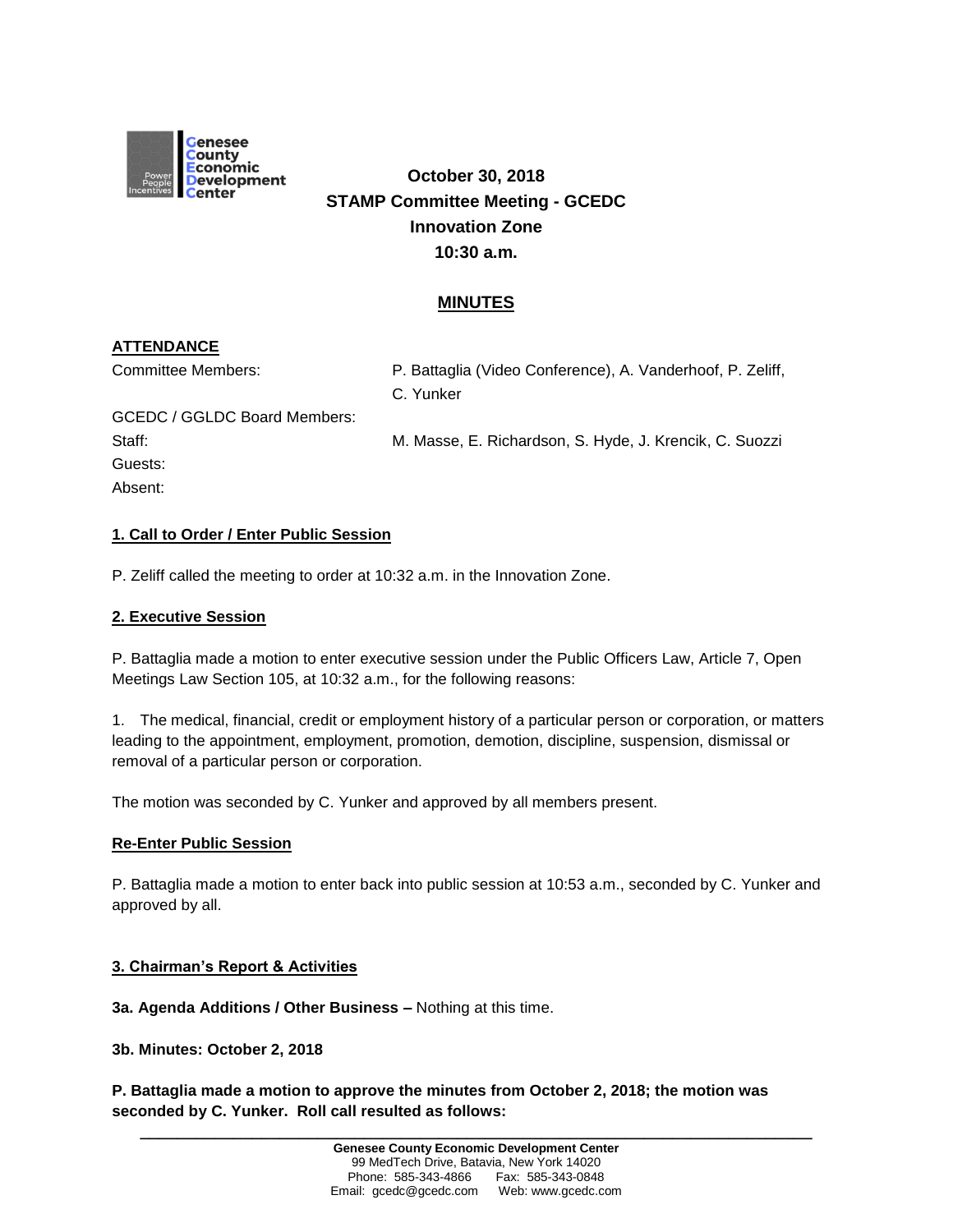

# **October 30, 2018 STAMP Committee Meeting - GCEDC Innovation Zone 10:30 a.m.**

## **MINUTES**

## **ATTENDANCE**

Absent:

| Committee Members:           | P. Battaglia (Video Conference), A. Vanderhoof, P. Zeliff, |
|------------------------------|------------------------------------------------------------|
|                              | C. Yunker                                                  |
| GCEDC / GGLDC Board Members: |                                                            |
| Staff:                       | M. Masse, E. Richardson, S. Hyde, J. Krencik, C. Suozzi    |
| Guests:                      |                                                            |

## **1. Call to Order / Enter Public Session**

P. Zeliff called the meeting to order at 10:32 a.m. in the Innovation Zone.

#### **2. Executive Session**

P. Battaglia made a motion to enter executive session under the Public Officers Law, Article 7, Open Meetings Law Section 105, at 10:32 a.m., for the following reasons:

1. The medical, financial, credit or employment history of a particular person or corporation, or matters leading to the appointment, employment, promotion, demotion, discipline, suspension, dismissal or removal of a particular person or corporation.

The motion was seconded by C. Yunker and approved by all members present.

### **Re-Enter Public Session**

P. Battaglia made a motion to enter back into public session at 10:53 a.m., seconded by C. Yunker and approved by all.

#### **3. Chairman's Report & Activities**

**3a. Agenda Additions / Other Business –** Nothing at this time.

**3b. Minutes: October 2, 2018**

**P. Battaglia made a motion to approve the minutes from October 2, 2018; the motion was seconded by C. Yunker. Roll call resulted as follows:**

**\_\_\_\_\_\_\_\_\_\_\_\_\_\_\_\_\_\_\_\_\_\_\_\_\_\_\_\_\_\_\_\_\_\_\_\_\_\_\_\_\_\_\_\_\_\_\_\_\_\_\_\_\_\_\_\_\_\_\_\_\_\_\_\_\_\_\_\_\_\_\_\_**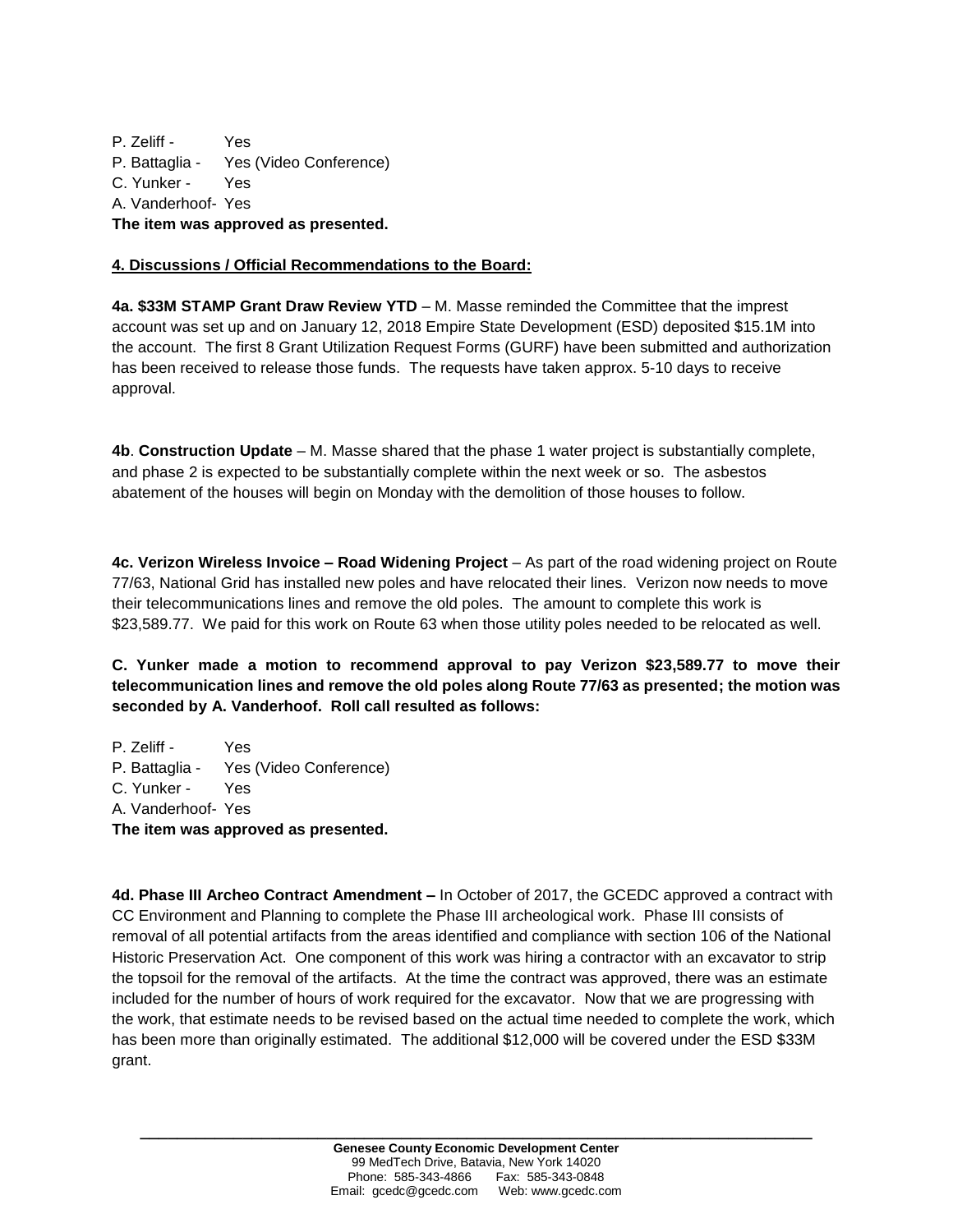P. Zeliff - Yes P. Battaglia - Yes (Video Conference) C. Yunker - Yes A. Vanderhoof- Yes **The item was approved as presented.**

## **4. Discussions / Official Recommendations to the Board:**

**4a. \$33M STAMP Grant Draw Review YTD** – M. Masse reminded the Committee that the imprest account was set up and on January 12, 2018 Empire State Development (ESD) deposited \$15.1M into the account. The first 8 Grant Utilization Request Forms (GURF) have been submitted and authorization has been received to release those funds. The requests have taken approx. 5-10 days to receive approval.

**4b**. **Construction Update** – M. Masse shared that the phase 1 water project is substantially complete, and phase 2 is expected to be substantially complete within the next week or so. The asbestos abatement of the houses will begin on Monday with the demolition of those houses to follow.

**4c. Verizon Wireless Invoice – Road Widening Project** – As part of the road widening project on Route 77/63, National Grid has installed new poles and have relocated their lines. Verizon now needs to move their telecommunications lines and remove the old poles. The amount to complete this work is \$23,589.77. We paid for this work on Route 63 when those utility poles needed to be relocated as well.

**C. Yunker made a motion to recommend approval to pay Verizon \$23,589.77 to move their telecommunication lines and remove the old poles along Route 77/63 as presented; the motion was seconded by A. Vanderhoof. Roll call resulted as follows:**

P. Zeliff - Yes P. Battaglia - Yes (Video Conference) C. Yunker - Yes A. Vanderhoof- Yes **The item was approved as presented.**

**4d. Phase III Archeo Contract Amendment –** In October of 2017, the GCEDC approved a contract with CC Environment and Planning to complete the Phase III archeological work. Phase III consists of removal of all potential artifacts from the areas identified and compliance with section 106 of the National Historic Preservation Act. One component of this work was hiring a contractor with an excavator to strip the topsoil for the removal of the artifacts. At the time the contract was approved, there was an estimate included for the number of hours of work required for the excavator. Now that we are progressing with the work, that estimate needs to be revised based on the actual time needed to complete the work, which has been more than originally estimated. The additional \$12,000 will be covered under the ESD \$33M grant.

**\_\_\_\_\_\_\_\_\_\_\_\_\_\_\_\_\_\_\_\_\_\_\_\_\_\_\_\_\_\_\_\_\_\_\_\_\_\_\_\_\_\_\_\_\_\_\_\_\_\_\_\_\_\_\_\_\_\_\_\_\_\_\_\_\_\_\_\_\_\_\_\_**